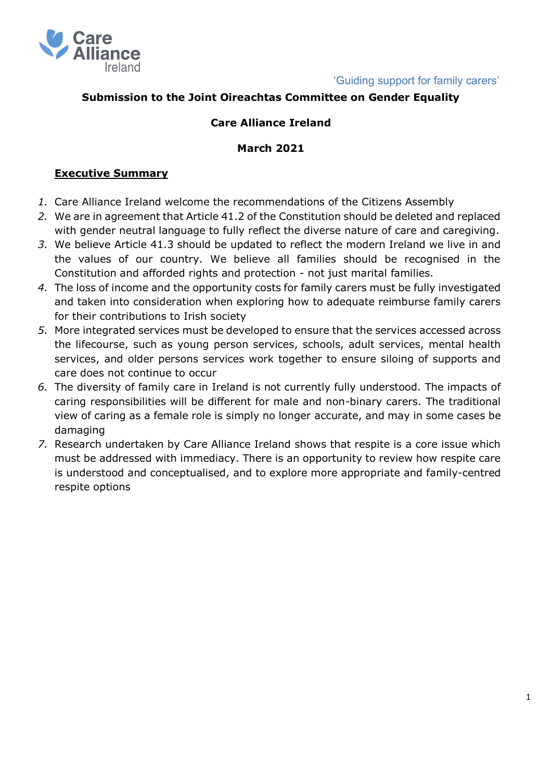

# **Submission to the Joint Oireachtas Committee on Gender Equality**

### **Care Alliance Ireland**

#### **March 2021**

#### **Executive Summary**

- *1.* Care Alliance Ireland welcome the recommendations of the Citizens Assembly
- *2.* We are in agreement that Article 41.2 of the Constitution should be deleted and replaced with gender neutral language to fully reflect the diverse nature of care and caregiving.
- *3.* We believe Article 41.3 should be updated to reflect the modern Ireland we live in and the values of our country. We believe all families should be recognised in the Constitution and afforded rights and protection - not just marital families.
- *4.* The loss of income and the opportunity costs for family carers must be fully investigated and taken into consideration when exploring how to adequate reimburse family carers for their contributions to Irish society
- *5.* More integrated services must be developed to ensure that the services accessed across the lifecourse, such as young person services, schools, adult services, mental health services, and older persons services work together to ensure siloing of supports and care does not continue to occur
- *6.* The diversity of family care in Ireland is not currently fully understood. The impacts of caring responsibilities will be different for male and non-binary carers. The traditional view of caring as a female role is simply no longer accurate, and may in some cases be damaging
- *7.* Research undertaken by Care Alliance Ireland shows that respite is a core issue which must be addressed with immediacy. There is an opportunity to review how respite care is understood and conceptualised, and to explore more appropriate and family-centred respite options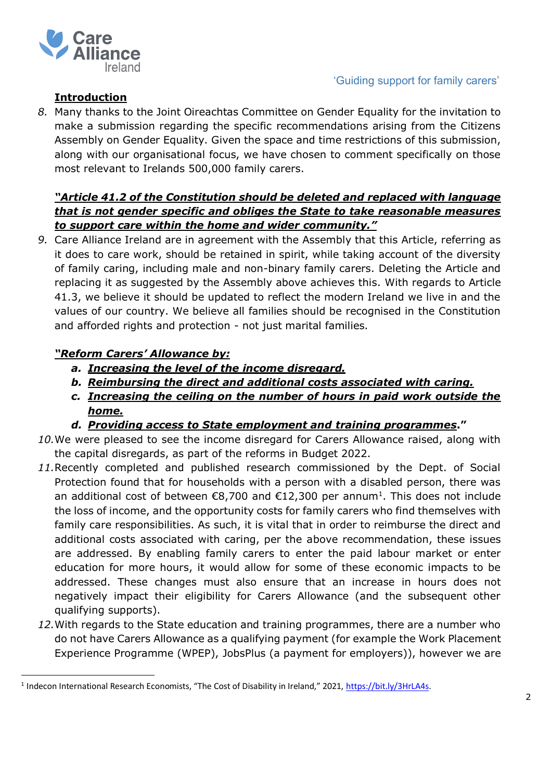

### **Introduction**

*8.* Many thanks to the Joint Oireachtas Committee on Gender Equality for the invitation to make a submission regarding the specific recommendations arising from the Citizens Assembly on Gender Equality. Given the space and time restrictions of this submission, along with our organisational focus, we have chosen to comment specifically on those most relevant to Irelands 500,000 family carers.

# *"Article 41.2 of the Constitution should be deleted and replaced with language that is not gender specific and obliges the State to take reasonable measures to support care within the home and wider community."*

*9.* Care Alliance Ireland are in agreement with the Assembly that this Article, referring as it does to care work, should be retained in spirit, while taking account of the diversity of family caring, including male and non-binary family carers. Deleting the Article and replacing it as suggested by the Assembly above achieves this. With regards to Article 41.3, we believe it should be updated to reflect the modern Ireland we live in and the values of our country. We believe all families should be recognised in the Constitution and afforded rights and protection - not just marital families.

# *"Reform Carers' Allowance by:*

- *a. Increasing the level of the income disregard.*
- *b. Reimbursing the direct and additional costs associated with caring.*
- *c. Increasing the ceiling on the number of hours in paid work outside the home.*
- *d. Providing access to State employment and training programmes***."**
- *10.*We were pleased to see the income disregard for Carers Allowance raised, along with the capital disregards, as part of the reforms in Budget 2022.
- *11.*Recently completed and published research commissioned by the Dept. of Social Protection found that for households with a person with a disabled person, there was an additional cost of between  $\epsilon$ 8,700 and  $\epsilon$ 12,300 per annum<sup>1</sup>. This does not include the loss of income, and the opportunity costs for family carers who find themselves with family care responsibilities. As such, it is vital that in order to reimburse the direct and additional costs associated with caring, per the above recommendation, these issues are addressed. By enabling family carers to enter the paid labour market or enter education for more hours, it would allow for some of these economic impacts to be addressed. These changes must also ensure that an increase in hours does not negatively impact their eligibility for Carers Allowance (and the subsequent other qualifying supports).
- *12.*With regards to the State education and training programmes, there are a number who do not have Carers Allowance as a qualifying payment (for example the Work Placement Experience Programme (WPEP), JobsPlus (a payment for employers)), however we are

<sup>&</sup>lt;sup>1</sup> Indecon International Research Economists, "The Cost of Disability in Ireland," 2021, [https://bit.ly/3HrLA4s.](https://bit.ly/3HrLA4s)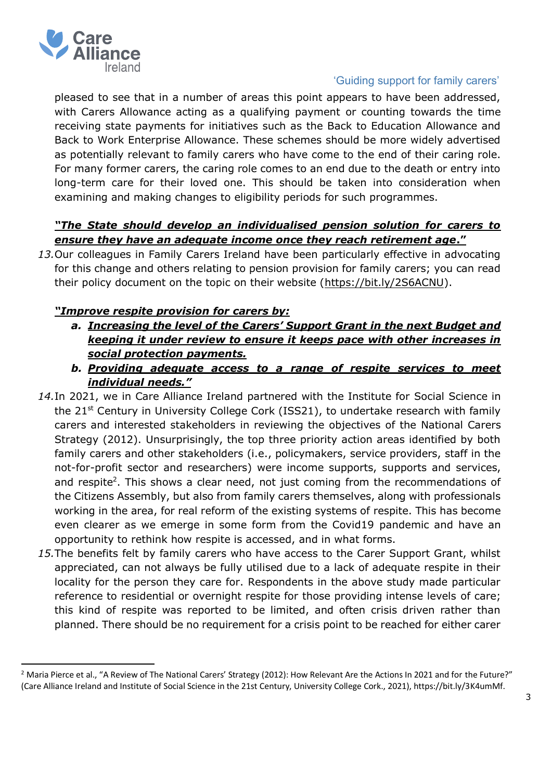

pleased to see that in a number of areas this point appears to have been addressed, with Carers Allowance acting as a qualifying payment or counting towards the time receiving state payments for initiatives such as the Back to Education Allowance and Back to Work Enterprise Allowance. These schemes should be more widely advertised as potentially relevant to family carers who have come to the end of their caring role. For many former carers, the caring role comes to an end due to the death or entry into long-term care for their loved one. This should be taken into consideration when examining and making changes to eligibility periods for such programmes.

# *"The State should develop an individualised pension solution for carers to ensure they have an adequate income once they reach retirement age***."**

*13.*Our colleagues in Family Carers Ireland have been particularly effective in advocating for this change and others relating to pension provision for family carers; you can read their policy document on the topic on their website [\(https://bit.ly/2S6ACNU\)](https://bit.ly/2S6ACNU).

# *"Improve respite provision for carers by:*

- *a. Increasing the level of the Carers' Support Grant in the next Budget and keeping it under review to ensure it keeps pace with other increases in social protection payments.*
- *b. Providing adequate access to a range of respite services to meet individual needs."*
- *14.*In 2021, we in Care Alliance Ireland partnered with the Institute for Social Science in the 21<sup>st</sup> Century in University College Cork (ISS21), to undertake research with family carers and interested stakeholders in reviewing the objectives of the National Carers Strategy (2012). Unsurprisingly, the top three priority action areas identified by both family carers and other stakeholders (i.e., policymakers, service providers, staff in the not-for-profit sector and researchers) were income supports, supports and services, and respite<sup>2</sup>. This shows a clear need, not just coming from the recommendations of the Citizens Assembly, but also from family carers themselves, along with professionals working in the area, for real reform of the existing systems of respite. This has become even clearer as we emerge in some form from the Covid19 pandemic and have an opportunity to rethink how respite is accessed, and in what forms.
- *15.*The benefits felt by family carers who have access to the Carer Support Grant, whilst appreciated, can not always be fully utilised due to a lack of adequate respite in their locality for the person they care for. Respondents in the above study made particular reference to residential or overnight respite for those providing intense levels of care; this kind of respite was reported to be limited, and often crisis driven rather than planned. There should be no requirement for a crisis point to be reached for either carer

<sup>&</sup>lt;sup>2</sup> Maria Pierce et al., "A Review of The National Carers' Strategy (2012): How Relevant Are the Actions In 2021 and for the Future?" (Care Alliance Ireland and Institute of Social Science in the 21st Century, University College Cork., 2021), https://bit.ly/3K4umMf.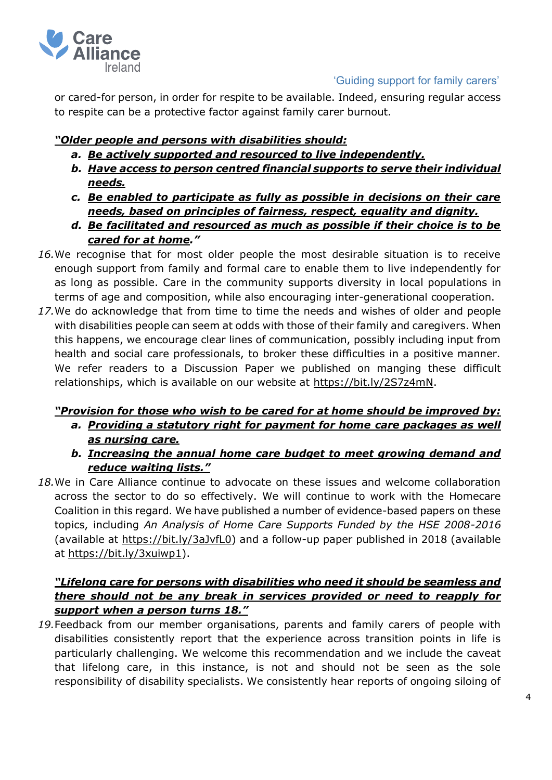

or cared-for person, in order for respite to be available. Indeed, ensuring regular access to respite can be a protective factor against family carer burnout.

# *"Older people and persons with disabilities should:*

- *a. Be actively supported and resourced to live independently.*
- *b. Have access to person centred financial supports to serve their individual needs.*
- *c. Be enabled to participate as fully as possible in decisions on their care needs, based on principles of fairness, respect, equality and dignity.*
- *d. Be facilitated and resourced as much as possible if their choice is to be cared for at home."*
- *16.*We recognise that for most older people the most desirable situation is to receive enough support from family and formal care to enable them to live independently for as long as possible. Care in the community supports diversity in local populations in terms of age and composition, while also encouraging inter-generational cooperation.
- *17.*We do acknowledge that from time to time the needs and wishes of older and people with disabilities people can seem at odds with those of their family and caregivers. When this happens, we encourage clear lines of communication, possibly including input from health and social care professionals, to broker these difficulties in a positive manner. We refer readers to a Discussion Paper we published on manging these difficult relationships, which is available on our website at [https://bit.ly/2S7z4mN.](https://bit.ly/2S7z4mN)

## *"Provision for those who wish to be cared for at home should be improved by: a. Providing a statutory right for payment for home care packages as well as nursing care.*

- *b. Increasing the annual home care budget to meet growing demand and reduce waiting lists."*
- *18.*We in Care Alliance continue to advocate on these issues and welcome collaboration across the sector to do so effectively. We will continue to work with the Homecare Coalition in this regard. We have published a number of evidence-based papers on these topics, including *An Analysis of Home Care Supports Funded by the HSE 2008-2016* (available at [https://bit.ly/3aJvfL0\)](https://bit.ly/3aJvfL0) and a follow-up paper published in 2018 (available at [https://bit.ly/3xuiwp1\)](https://bit.ly/3xuiwp1).

# *"Lifelong care for persons with disabilities who need it should be seamless and there should not be any break in services provided or need to reapply for support when a person turns 18."*

*19.*Feedback from our member organisations, parents and family carers of people with disabilities consistently report that the experience across transition points in life is particularly challenging. We welcome this recommendation and we include the caveat that lifelong care, in this instance, is not and should not be seen as the sole responsibility of disability specialists. We consistently hear reports of ongoing siloing of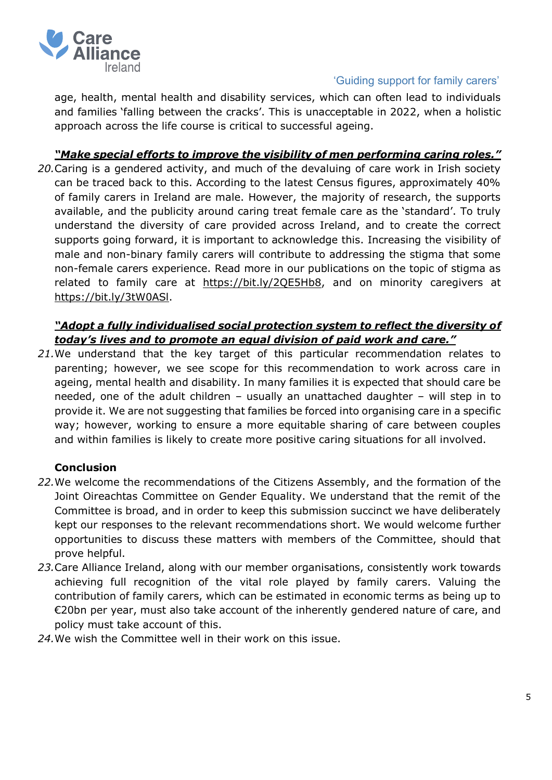

age, health, mental health and disability services, which can often lead to individuals and families 'falling between the cracks'. This is unacceptable in 2022, when a holistic approach across the life course is critical to successful ageing.

*"Make special efforts to improve the visibility of men performing caring roles."*

*20.*Caring is a gendered activity, and much of the devaluing of care work in Irish society can be traced back to this. According to the latest Census figures, approximately 40% of family carers in Ireland are male. However, the majority of research, the supports available, and the publicity around caring treat female care as the 'standard'. To truly understand the diversity of care provided across Ireland, and to create the correct supports going forward, it is important to acknowledge this. Increasing the visibility of male and non-binary family carers will contribute to addressing the stigma that some non-female carers experience. Read more in our publications on the topic of stigma as related to family care at [https://bit.ly/2QE5Hb8,](https://bit.ly/2QE5Hb8) and on minority caregivers at [https://bit.ly/3tW0ASl.](https://bit.ly/3tW0ASl)

### *"Adopt a fully individualised social protection system to reflect the diversity of today's lives and to promote an equal division of paid work and care."*

*21.*We understand that the key target of this particular recommendation relates to parenting; however, we see scope for this recommendation to work across care in ageing, mental health and disability. In many families it is expected that should care be needed, one of the adult children – usually an unattached daughter – will step in to provide it. We are not suggesting that families be forced into organising care in a specific way; however, working to ensure a more equitable sharing of care between couples and within families is likely to create more positive caring situations for all involved.

## **Conclusion**

- *22.*We welcome the recommendations of the Citizens Assembly, and the formation of the Joint Oireachtas Committee on Gender Equality. We understand that the remit of the Committee is broad, and in order to keep this submission succinct we have deliberately kept our responses to the relevant recommendations short. We would welcome further opportunities to discuss these matters with members of the Committee, should that prove helpful.
- *23.*Care Alliance Ireland, along with our member organisations, consistently work towards achieving full recognition of the vital role played by family carers. Valuing the contribution of family carers, which can be estimated in economic terms as being up to €20bn per year, must also take account of the inherently gendered nature of care, and policy must take account of this.
- *24.*We wish the Committee well in their work on this issue.